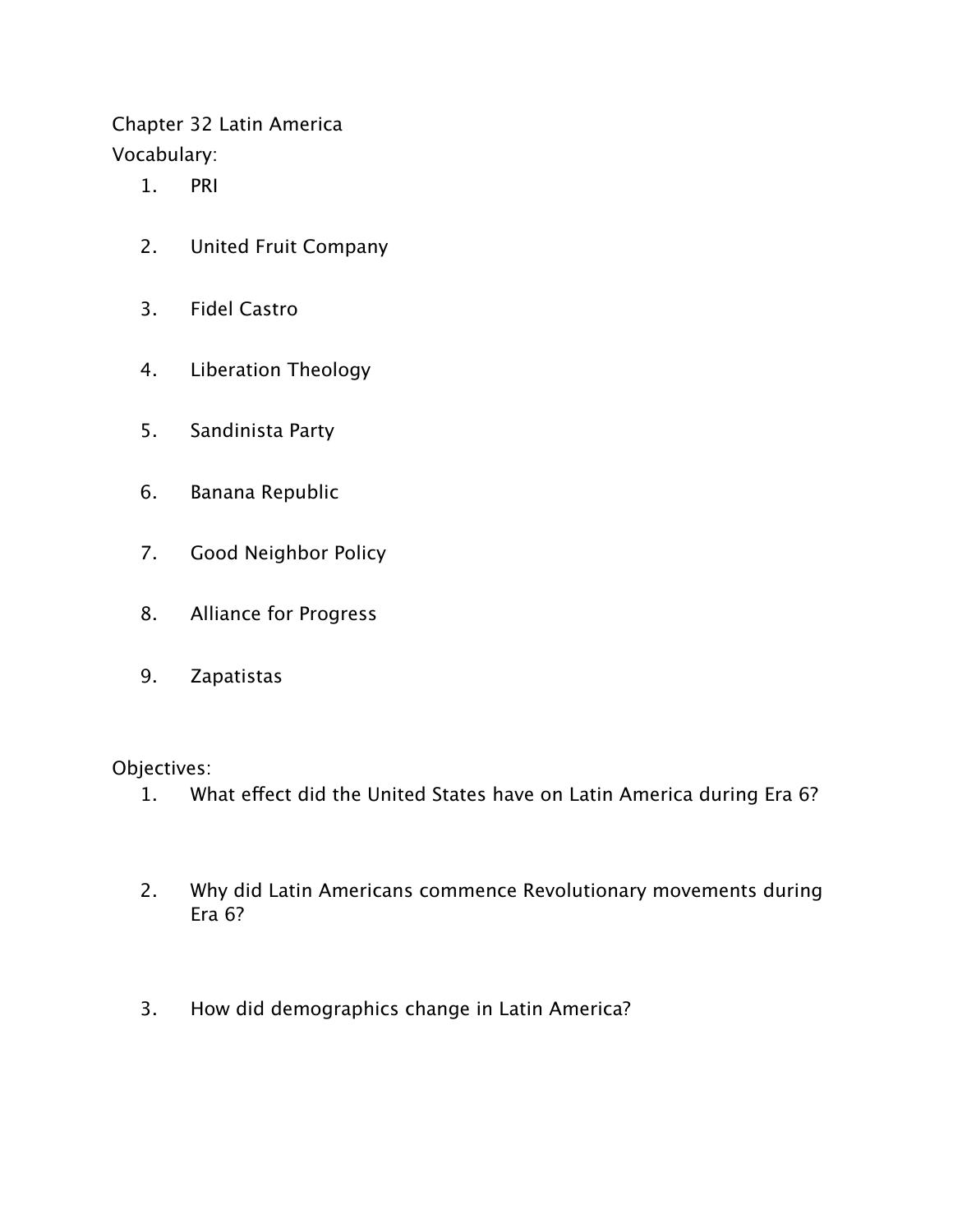Chapter 32 Latin America Vocabulary:

- 1. PRI
- 2. United Fruit Company
- 3. Fidel Castro
- 4. Liberation Theology
- 5. Sandinista Party
- 6. Banana Republic
- 7. Good Neighbor Policy
- 8. Alliance for Progress
- 9. Zapatistas

Objectives:

- 1. What effect did the United States have on Latin America during Era 6?
- 2. Why did Latin Americans commence Revolutionary movements during Era 6?
- 3. How did demographics change in Latin America?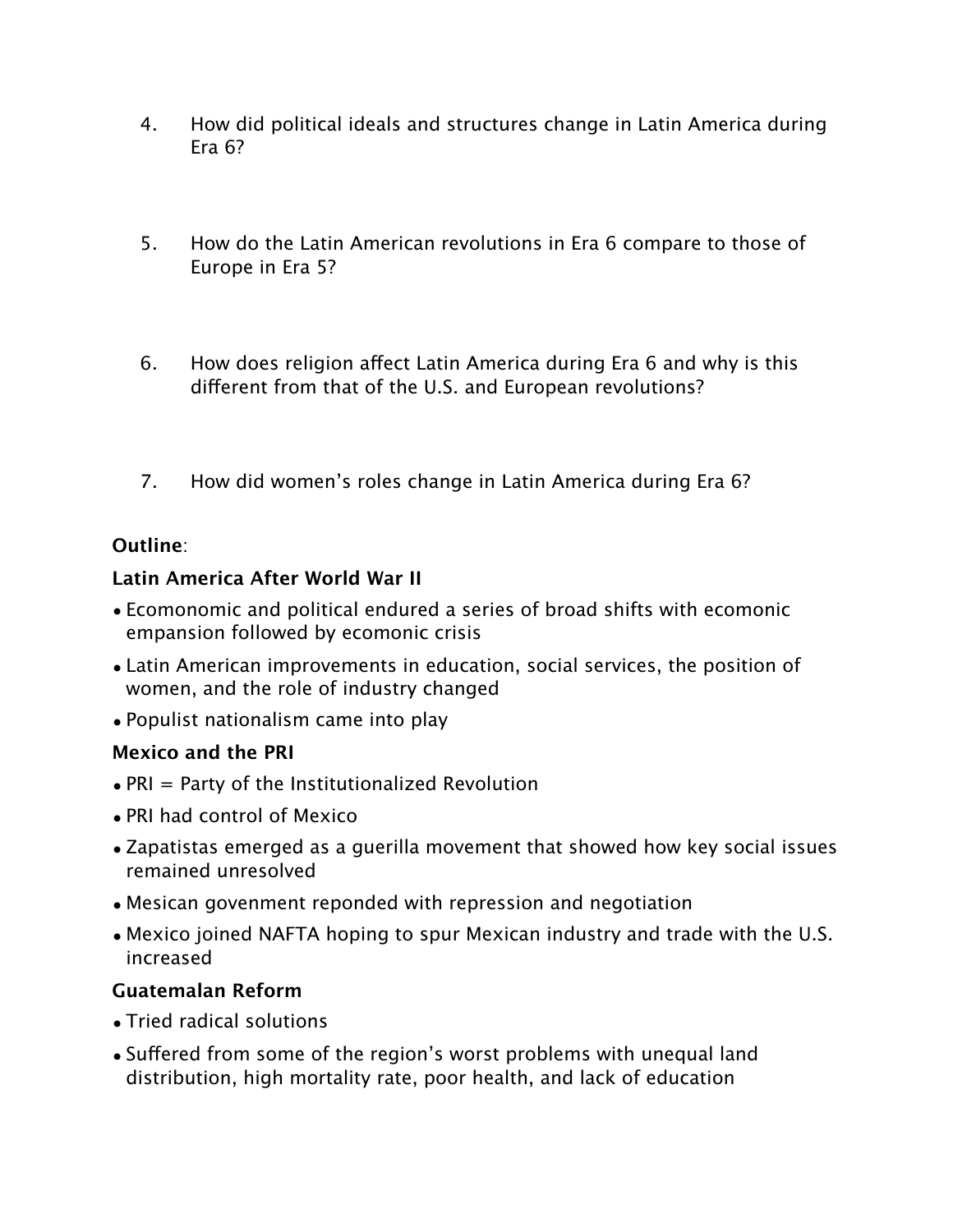- 4. How did political ideals and structures change in Latin America during Era 6?
- 5. How do the Latin American revolutions in Era 6 compare to those of Europe in Era 5?
- 6. How does religion affect Latin America during Era 6 and why is this different from that of the U.S. and European revolutions?
- 7. How did women's roles change in Latin America during Era 6?

## **Outline**:

# **Latin America After World War II**

- Ecomonomic and political endured a series of broad shifts with ecomonic empansion followed by ecomonic crisis
- Latin American improvements in education, social services, the position of women, and the role of industry changed
- Populist nationalism came into play

## **Mexico and the PRI**

- PRI = Party of the Institutionalized Revolution
- PRI had control of Mexico
- Zapatistas emerged as a guerilla movement that showed how key social issues remained unresolved
- Mesican govenment reponded with repression and negotiation
- Mexico joined NAFTA hoping to spur Mexican industry and trade with the U.S. increased

# **Guatemalan Reform**

- Tried radical solutions
- Suffered from some of the region's worst problems with unequal land distribution, high mortality rate, poor health, and lack of education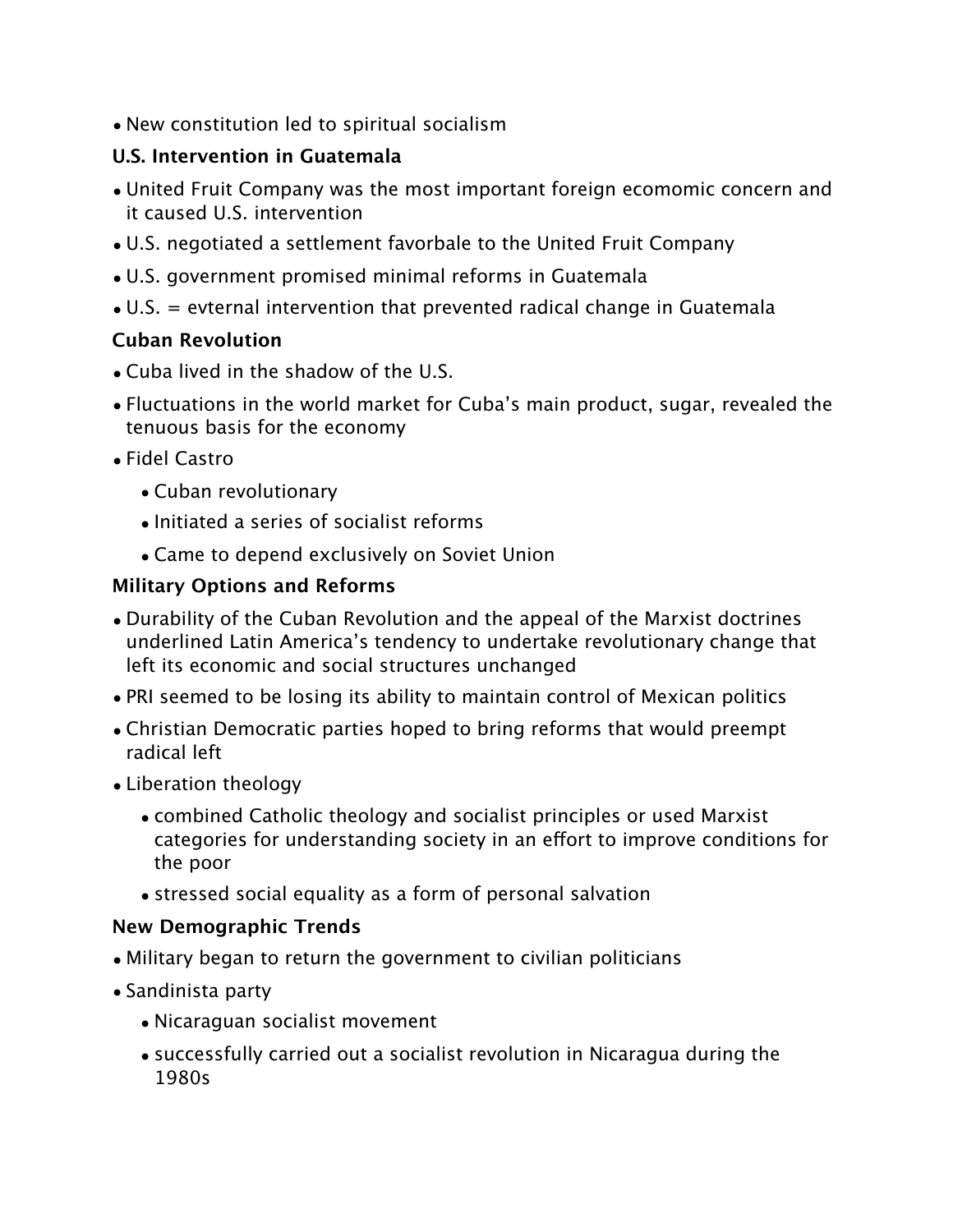• New constitution led to spiritual socialism

# **U.S. Intervention in Guatemala**

- United Fruit Company was the most important foreign ecomomic concern and it caused U.S. intervention
- U.S. negotiated a settlement favorbale to the United Fruit Company
- U.S. government promised minimal reforms in Guatemala
- U.S. = evternal intervention that prevented radical change in Guatemala

# **Cuban Revolution**

- Cuba lived in the shadow of the U.S.
- Fluctuations in the world market for Cuba's main product, sugar, revealed the tenuous basis for the economy
- Fidel Castro
	- Cuban revolutionary
	- Initiated a series of socialist reforms
	- Came to depend exclusively on Soviet Union

# **Military Options and Reforms**

- Durability of the Cuban Revolution and the appeal of the Marxist doctrines underlined Latin America's tendency to undertake revolutionary change that left its economic and social structures unchanged
- PRI seemed to be losing its ability to maintain control of Mexican politics
- Christian Democratic parties hoped to bring reforms that would preempt radical left
- Liberation theology
	- combined Catholic theology and socialist principles or used Marxist categories for understanding society in an effort to improve conditions for the poor
	- stressed social equality as a form of personal salvation

## **New Demographic Trends**

- Military began to return the government to civilian politicians
- Sandinista party
	- Nicaraguan socialist movement
	- successfully carried out a socialist revolution in Nicaragua during the 1980s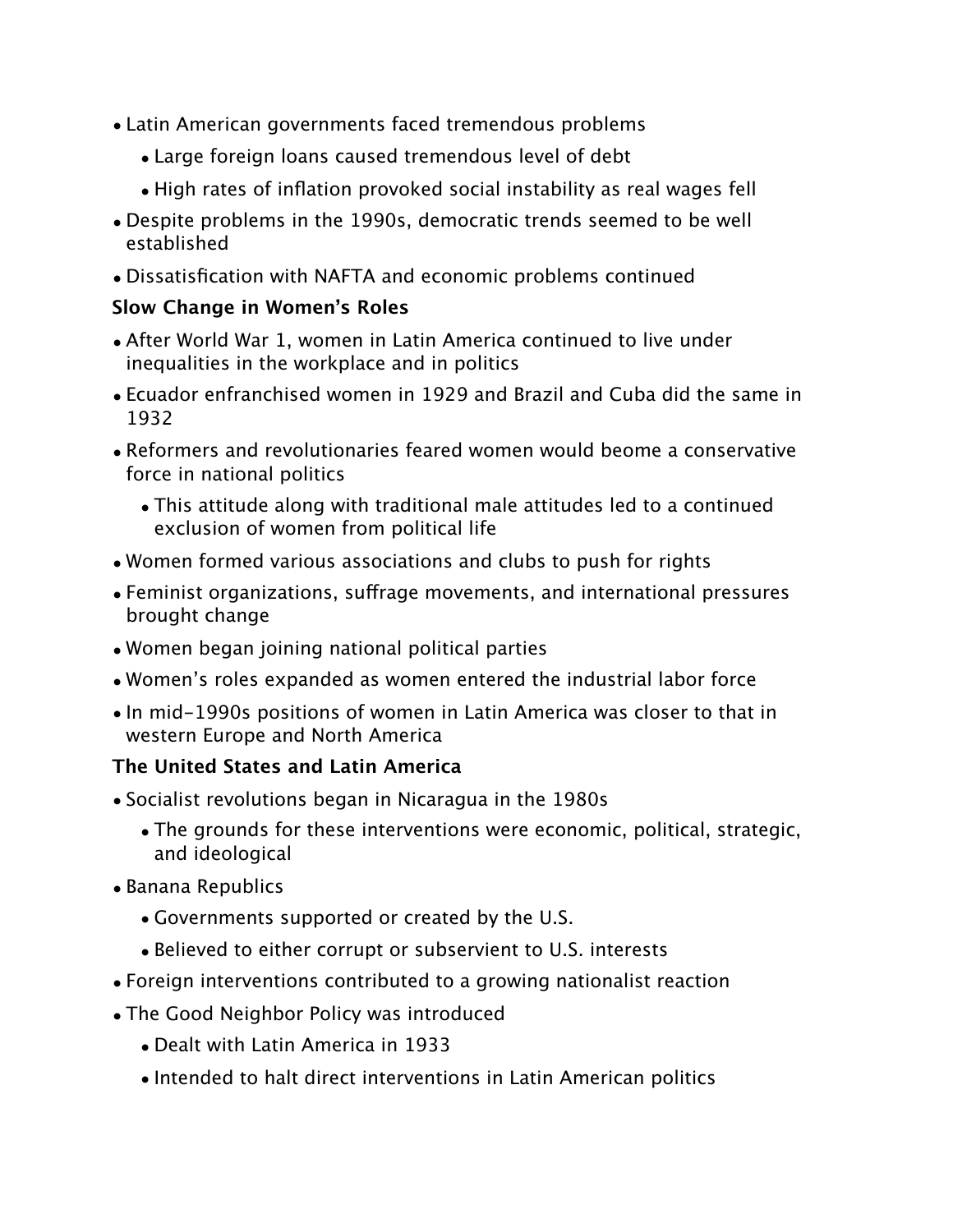- Latin American governments faced tremendous problems
	- Large foreign loans caused tremendous level of debt
	- High rates of inflation provoked social instability as real wages fell
- Despite problems in the 1990s, democratic trends seemed to be well established
- Dissatisfication with NAFTA and economic problems continued

## **Slow Change in Women's Roles**

- After World War 1, women in Latin America continued to live under inequalities in the workplace and in politics
- Ecuador enfranchised women in 1929 and Brazil and Cuba did the same in 1932
- Reformers and revolutionaries feared women would beome a conservative force in national politics
	- This attitude along with traditional male attitudes led to a continued exclusion of women from political life
- Women formed various associations and clubs to push for rights
- Feminist organizations, suffrage movements, and international pressures brought change
- Women began joining national political parties
- Women's roles expanded as women entered the industrial labor force
- In mid-1990s positions of women in Latin America was closer to that in western Europe and North America

## **The United States and Latin America**

- Socialist revolutions began in Nicaragua in the 1980s
	- The grounds for these interventions were economic, political, strategic, and ideological
- Banana Republics
	- Governments supported or created by the U.S.
	- Believed to either corrupt or subservient to U.S. interests
- Foreign interventions contributed to a growing nationalist reaction
- The Good Neighbor Policy was introduced
	- Dealt with Latin America in 1933
	- Intended to halt direct interventions in Latin American politics